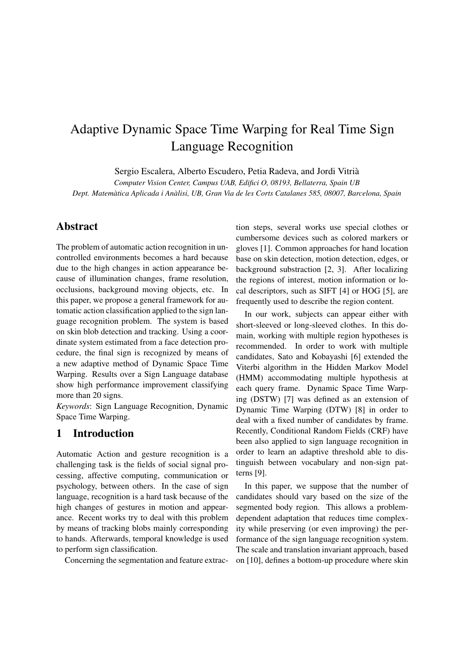# Adaptive Dynamic Space Time Warping for Real Time Sign Language Recognition

Sergio Escalera, Alberto Escudero, Petia Radeva, and Jordi Vitria`

*Computer Vision Center, Campus UAB, Edifici O, 08193, Bellaterra, Spain UB Dept. Matematica Aplicada i An ` alisi, UB, Gran Via de les Corts Catalanes 585, 08007, Barcelona, Spain `*

## Abstract

The problem of automatic action recognition in uncontrolled environments becomes a hard because due to the high changes in action appearance because of illumination changes, frame resolution, occlusions, background moving objects, etc. In this paper, we propose a general framework for automatic action classification applied to the sign language recognition problem. The system is based on skin blob detection and tracking. Using a coordinate system estimated from a face detection procedure, the final sign is recognized by means of a new adaptive method of Dynamic Space Time Warping. Results over a Sign Language database show high performance improvement classifying more than 20 signs.

*Keywords*: Sign Language Recognition, Dynamic Space Time Warping.

## 1 Introduction

Automatic Action and gesture recognition is a challenging task is the fields of social signal processing, affective computing, communication or psychology, between others. In the case of sign language, recognition is a hard task because of the high changes of gestures in motion and appearance. Recent works try to deal with this problem by means of tracking blobs mainly corresponding to hands. Afterwards, temporal knowledge is used to perform sign classification.

Concerning the segmentation and feature extrac-

tion steps, several works use special clothes or cumbersome devices such as colored markers or gloves [1]. Common approaches for hand location base on skin detection, motion detection, edges, or background substraction [2, 3]. After localizing the regions of interest, motion information or local descriptors, such as SIFT [4] or HOG [5], are frequently used to describe the region content.

In our work, subjects can appear either with short-sleeved or long-sleeved clothes. In this domain, working with multiple region hypotheses is recommended. In order to work with multiple candidates, Sato and Kobayashi [6] extended the Viterbi algorithm in the Hidden Markov Model (HMM) accommodating multiple hypothesis at each query frame. Dynamic Space Time Warping (DSTW) [7] was defined as an extension of Dynamic Time Warping (DTW) [8] in order to deal with a fixed number of candidates by frame. Recently, Conditional Random Fields (CRF) have been also applied to sign language recognition in order to learn an adaptive threshold able to distinguish between vocabulary and non-sign patterns [9].

In this paper, we suppose that the number of candidates should vary based on the size of the segmented body region. This allows a problemdependent adaptation that reduces time complexity while preserving (or even improving) the performance of the sign language recognition system. The scale and translation invariant approach, based on [10], defines a bottom-up procedure where skin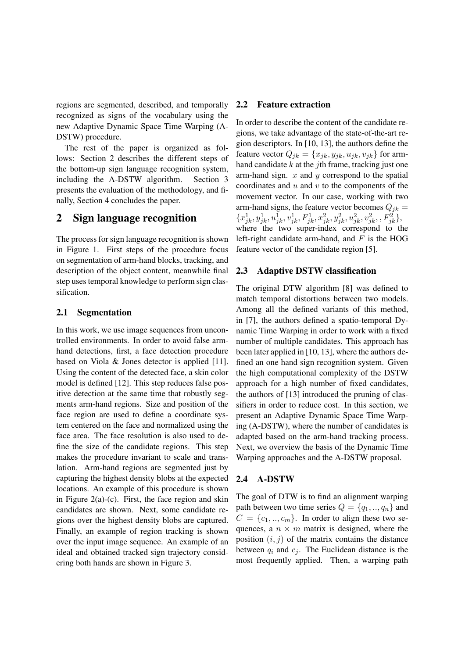regions are segmented, described, and temporally recognized as signs of the vocabulary using the new Adaptive Dynamic Space Time Warping (A-DSTW) procedure.

The rest of the paper is organized as follows: Section 2 describes the different steps of the bottom-up sign language recognition system, including the A-DSTW algorithm. Section 3 presents the evaluation of the methodology, and finally, Section 4 concludes the paper.

# 2 Sign language recognition

The process for sign language recognition is shown in Figure 1. First steps of the procedure focus on segmentation of arm-hand blocks, tracking, and description of the object content, meanwhile final step uses temporal knowledge to perform sign classification.

### 2.1 Segmentation

In this work, we use image sequences from uncontrolled environments. In order to avoid false armhand detections, first, a face detection procedure based on Viola & Jones detector is applied [11]. Using the content of the detected face, a skin color model is defined [12]. This step reduces false positive detection at the same time that robustly segments arm-hand regions. Size and position of the face region are used to define a coordinate system centered on the face and normalized using the face area. The face resolution is also used to define the size of the candidate regions. This step makes the procedure invariant to scale and translation. Arm-hand regions are segmented just by capturing the highest density blobs at the expected locations. An example of this procedure is shown in Figure  $2(a)-(c)$ . First, the face region and skin candidates are shown. Next, some candidate regions over the highest density blobs are captured. Finally, an example of region tracking is shown over the input image sequence. An example of an ideal and obtained tracked sign trajectory considering both hands are shown in Figure 3.

#### 2.2 Feature extraction

In order to describe the content of the candidate regions, we take advantage of the state-of-the-art region descriptors. In [10, 13], the authors define the feature vector  $Q_{jk} = \{x_{jk}, y_{jk}, u_{jk}, v_{jk}\}\$  for armhand candidate  $k$  at the *j*th frame, tracking just one arm-hand sign.  $x$  and  $y$  correspond to the spatial coordinates and  $u$  and  $v$  to the components of the movement vector. In our case, working with two arm-hand signs, the feature vector becomes  $Q_{jk}$  =  $\{x_{jk}^1, y_{jk}^1, u_{jk}^1, v_{jk}^1, F_{jk}^1, x_{jk}^2, y_{jk}^2, u_{jk}^2, v_{jk}^2, F_{jk}^2\},$ where the two super-index correspond to the left-right candidate arm-hand, and  $F$  is the HOG feature vector of the candidate region [5].

#### 2.3 Adaptive DSTW classification

The original DTW algorithm [8] was defined to match temporal distortions between two models. Among all the defined variants of this method, in [7], the authors defined a spatio-temporal Dynamic Time Warping in order to work with a fixed number of multiple candidates. This approach has been later applied in [10, 13], where the authors defined an one hand sign recognition system. Given the high computational complexity of the DSTW approach for a high number of fixed candidates, the authors of [13] introduced the pruning of classifiers in order to reduce cost. In this section, we present an Adaptive Dynamic Space Time Warping (A-DSTW), where the number of candidates is adapted based on the arm-hand tracking process. Next, we overview the basis of the Dynamic Time Warping approaches and the A-DSTW proposal.

#### 2.4 A-DSTW

The goal of DTW is to find an alignment warping path between two time series  $Q = \{q_1, ..., q_n\}$  and  $C = \{c_1, ..., c_m\}$ . In order to align these two sequences, a  $n \times m$  matrix is designed, where the position  $(i, j)$  of the matrix contains the distance between  $q_i$  and  $c_j$ . The Euclidean distance is the most frequently applied. Then, a warping path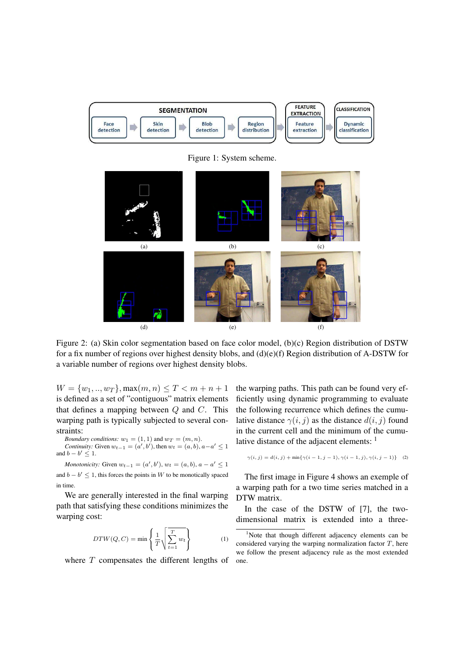

Figure 1: System scheme.



Figure 2: (a) Skin color segmentation based on face color model, (b)(c) Region distribution of DSTW for a fix number of regions over highest density blobs, and (d)(e)(f) Region distribution of A-DSTW for a variable number of regions over highest density blobs.

 $W = \{w_1, ..., w_T\}$ , max $(m, n) \leq T < m + n + 1$ is defined as a set of "contiguous" matrix elements that defines a mapping between  $Q$  and  $C$ . This warping path is typically subjected to several constraints:

*Boundary conditions:* 
$$
w_1 = (1, 1)
$$
 and  $w_T = (m, n)$ .  
*Continuity:* Given  $w_{t-1} = (a', b')$ , then  $w_t = (a, b), a - a' \le 1$  and  $b - b' \le 1$ .

*Monotonicity:* Given  $w_{t-1} = (a', b'), w_t = (a, b), a - a' \leq 1$ and  $b - b' \leq 1$ , this forces the points in W to be monotically spaced in time.

We are generally interested in the final warping path that satisfying these conditions minimizes the warping cost:

$$
DTW(Q, C) = \min\left\{\frac{1}{T}\sqrt{\sum_{t=1}^{T} w_t}\right\} \tag{1}
$$

where  $T$  compensates the different lengths of

the warping paths. This path can be found very efficiently using dynamic programming to evaluate the following recurrence which defines the cumulative distance  $\gamma(i, j)$  as the distance  $d(i, j)$  found in the current cell and the minimum of the cumulative distance of the adjacent elements: <sup>1</sup>

$$
\gamma(i,j) = d(i,j) + \min\{\gamma(i-1,j-1), \gamma(i-1,j), \gamma(i,j-1)\} \tag{2}
$$

The first image in Figure 4 shows an exemple of a warping path for a two time series matched in a DTW matrix.

In the case of the DSTW of [7], the twodimensional matrix is extended into a three-

<sup>&</sup>lt;sup>1</sup>Note that though different adjacency elements can be considered varying the warping normalization factor  $T$ , here we follow the present adjacency rule as the most extended one.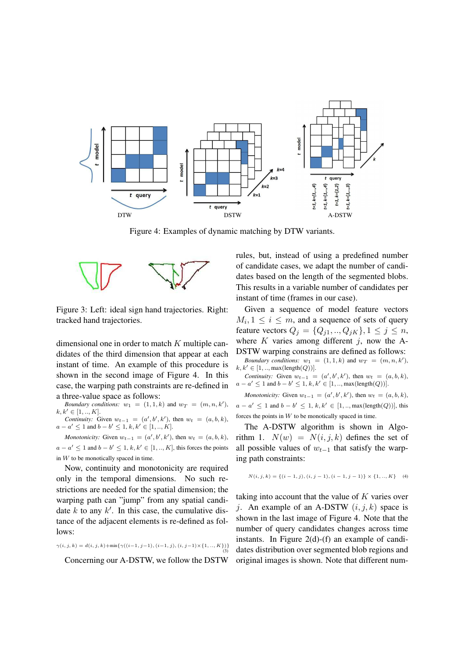

Figure 4: Examples of dynamic matching by DTW variants.



Figure 3: Left: ideal sign hand trajectories. Right: tracked hand trajectories.

dimensional one in order to match  $K$  multiple candidates of the third dimension that appear at each instant of time. An example of this procedure is shown in the second image of Figure 4. In this case, the warping path constraints are re-defined in a three-value space as follows:

*Boundary conditions:*  $w_1 = (1, 1, k)$  and  $w_T = (m, n, k')$ ,  $k, k' \in [1, ..., K].$ 

*Continuity:* Given  $w_{t-1} = (a', b', k')$ , then  $w_t = (a, b, k)$ ,  $a - a' \leq 1$  and  $b - b' \leq 1, k, k' \in [1, ..., K].$ 

*Monotonicity:* Given  $w_{t-1} = (a', b', k')$ , then  $w_t = (a, b, k)$ ,  $a - a' \leq 1$  and  $b - b' \leq 1, k, k' \in [1, ..., K]$ , this forces the points in  $W$  to be monotically spaced in time.

Now, continuity and monotonicity are required only in the temporal dimensions. No such restrictions are needed for the spatial dimension; the warping path can "jump" from any spatial candidate  $k$  to any  $k'$ . In this case, the cumulative distance of the adjacent elements is re-defined as follows:

$$
\gamma(i, j, k) = d(i, j, k) + \min\{\gamma((i-1, j-1), (i-1, j), (i, j-1) \times \{1, ..., K\})\}
$$
\n(3)

Concerning our A-DSTW, we follow the DSTW

rules, but, instead of using a predefined number of candidate cases, we adapt the number of candidates based on the length of the segmented blobs. This results in a variable number of candidates per instant of time (frames in our case).

Given a sequence of model feature vectors  $M_i, 1 \leq i \leq m$ , and a sequence of sets of query feature vectors  $Q_j = \{Q_{j1},..,Q_{jK}\}, 1 \le j \le n$ , where  $K$  varies among different  $j$ , now the A-DSTW warping constrains are defined as follows: *Boundary conditions:*  $w_1 = (1, 1, k)$  and  $w_T = (m, n, k')$ ,  $k, k' \in [1, \ldots, \max(\text{length}(Q))].$ 

*Continuity:* Given  $w_{t-1} = (a', b', k')$ , then  $w_t = (a, b, k)$ ,  $a - a' \le 1$  and  $b - b' \le 1$ ,  $k, k' \in [1, ..., \max(\text{length}(Q))]$ .

*Monotonicity:* Given  $w_{t-1} = (a', b', k')$ , then  $w_t = (a, b, k)$ ,  $a - a' \leq 1$  and  $b - b' \leq 1$ ,  $k, k' \in [1, \dots, \max(\text{length}(Q))],$  this forces the points in  $W$  to be monotically spaced in time.

The A-DSTW algorithm is shown in Algorithm 1.  $N(w) = N(i, j, k)$  defines the set of all possible values of  $w_{t-1}$  that satisfy the warping path constraints:

$$
N(i, j, k) = \{(i - 1, j), (i, j - 1), (i - 1, j - 1)\} \times \{1, ..., K\}
$$
 (4)

taking into account that the value of  $K$  varies over j. An example of an A-DSTW  $(i, j, k)$  space is shown in the last image of Figure 4. Note that the number of query candidates changes across time instants. In Figure 2(d)-(f) an example of candidates distribution over segmented blob regions and original images is shown. Note that different num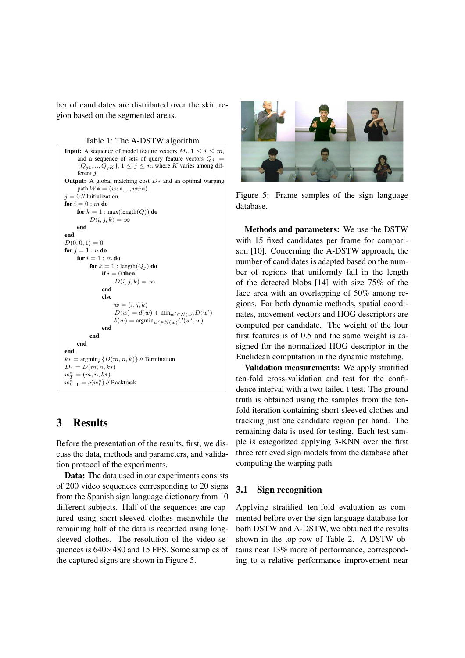ber of candidates are distributed over the skin region based on the segmented areas.

Table 1: The A-DSTW algorithm

**Input:** A sequence of model feature vectors  $M_i$ ,  $1 \le i \le m$ , and a sequence of sets of query feature vectors  $Q_j$  =  $\{Q_{j1},..,Q_{jK}\}, 1 \leq j \leq n$ , where K varies among different j. **Output:** A global matching cost  $D*$  and an optimal warping path  $W* = (w_1*, ..., w_T*)$ .  $i = 0$  // Initialization for  $i = 0$  :  $m$  do for  $k = 1$ : max(length(Q)) do  $D(i, j, k) = \infty$ end end  $D(0, 0, 1) = 0$ for  $j = 1:n$  do for  $i = 1 : m$  do for  $k = 1$ : length $(Q_j)$  do if  $i = 0$  then  $D(i, j, k) = \infty$ end else  $w = (i, j, k)$  $D(w) = d(w) + \min_{w' \in N(w)} D(w')$  $b(w) = \operatorname{argmin}_{w' \in N(w)} C(w', w)$ end end end end  $k* = \operatorname{argmin}_{k} \{D(m, n, k)\}$  // Termination  $D* = D(m, n, k*)$  $w_T^* = (m, n, k*)$  $w_{t-1}^* = b(w_t^*)$  // Backtrack

# 3 Results

Before the presentation of the results, first, we discuss the data, methods and parameters, and validation protocol of the experiments.

Data: The data used in our experiments consists of 200 video sequences corresponding to 20 signs from the Spanish sign language dictionary from 10 different subjects. Half of the sequences are captured using short-sleeved clothes meanwhile the remaining half of the data is recorded using longsleeved clothes. The resolution of the video sequences is 640×480 and 15 FPS. Some samples of the captured signs are shown in Figure 5.



Figure 5: Frame samples of the sign language database.

Methods and parameters: We use the DSTW with 15 fixed candidates per frame for comparison [10]. Concerning the A-DSTW approach, the number of candidates is adapted based on the number of regions that uniformly fall in the length of the detected blobs [14] with size 75% of the face area with an overlapping of 50% among regions. For both dynamic methods, spatial coordinates, movement vectors and HOG descriptors are computed per candidate. The weight of the four first features is of 0.5 and the same weight is assigned for the normalized HOG descriptor in the Euclidean computation in the dynamic matching.

Validation measurements: We apply stratified ten-fold cross-validation and test for the confidence interval with a two-tailed t-test. The ground truth is obtained using the samples from the tenfold iteration containing short-sleeved clothes and tracking just one candidate region per hand. The remaining data is used for testing. Each test sample is categorized applying 3-KNN over the first three retrieved sign models from the database after computing the warping path.

### 3.1 Sign recognition

Applying stratified ten-fold evaluation as commented before over the sign language database for both DSTW and A-DSTW, we obtained the results shown in the top row of Table 2. A-DSTW obtains near 13% more of performance, corresponding to a relative performance improvement near